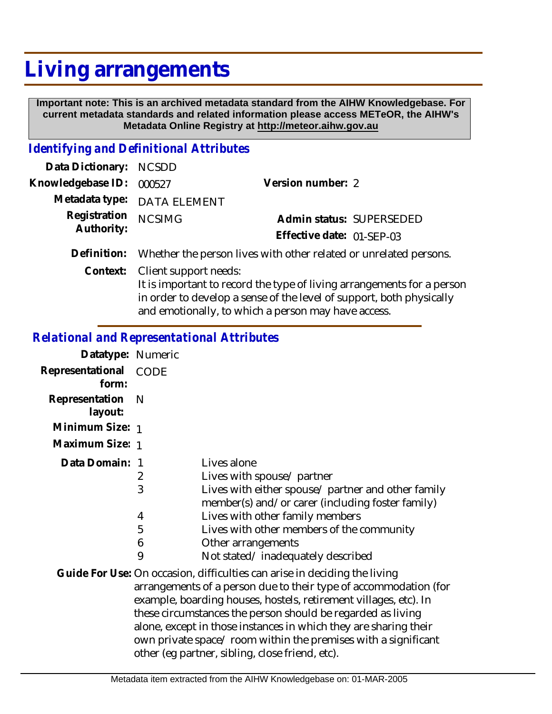## **Living arrangements**

 **Important note: This is an archived metadata standard from the AIHW Knowledgebase. For current metadata standards and related information please access METeOR, the AIHW's Metadata Online Registry at http://meteor.aihw.gov.au**

## *Identifying and Definitional Attributes*

|                                                                               | Version number: 2                                                                                               |                          |
|-------------------------------------------------------------------------------|-----------------------------------------------------------------------------------------------------------------|--------------------------|
|                                                                               |                                                                                                                 |                          |
| <b>NCSIMG</b>                                                                 |                                                                                                                 | Admin status: SUPERSEDED |
|                                                                               | Effective date: 01-SEP-03                                                                                       |                          |
| Definition: Whether the person lives with other related or unrelated persons. |                                                                                                                 |                          |
|                                                                               | Data Dictionary: NCSDD<br>Knowledgebase ID: 000527<br>Metadata type: DATA ELEMENT<br>Registration<br>Authority: |                          |

Context: Client support needs: It is important to record the type of living arrangements for a person in order to develop a sense of the level of support, both physically and emotionally, to which a person may have access.

## *Relational and Representational Attributes*

| Datatype: Numeric         |                                   |                                                                                                                                                                                                                                                                                                                                                                                                                                                                           |
|---------------------------|-----------------------------------|---------------------------------------------------------------------------------------------------------------------------------------------------------------------------------------------------------------------------------------------------------------------------------------------------------------------------------------------------------------------------------------------------------------------------------------------------------------------------|
| Representational<br>form: | CODE                              |                                                                                                                                                                                                                                                                                                                                                                                                                                                                           |
| Representation<br>layout: | N                                 |                                                                                                                                                                                                                                                                                                                                                                                                                                                                           |
| Minimum Size: 1           |                                   |                                                                                                                                                                                                                                                                                                                                                                                                                                                                           |
| Maximum Size: 1           |                                   |                                                                                                                                                                                                                                                                                                                                                                                                                                                                           |
| Data Domain:              | - 1<br>2<br>3<br>4<br>5<br>6<br>9 | Lives alone<br>Lives with spouse/ partner<br>Lives with either spouse/ partner and other family<br>member(s) and/or carer (including foster family)<br>Lives with other family members<br>Lives with other members of the community<br>Other arrangements<br>Not stated/inadequately described                                                                                                                                                                            |
|                           |                                   | Guide For Use: On occasion, difficulties can arise in deciding the living<br>arrangements of a person due to their type of accommodation (for<br>example, boarding houses, hostels, retirement villages, etc). In<br>these circumstances the person should be regarded as living<br>alone, except in those instances in which they are sharing their<br>own private space/ room within the premises with a significant<br>other (eg partner, sibling, close friend, etc). |